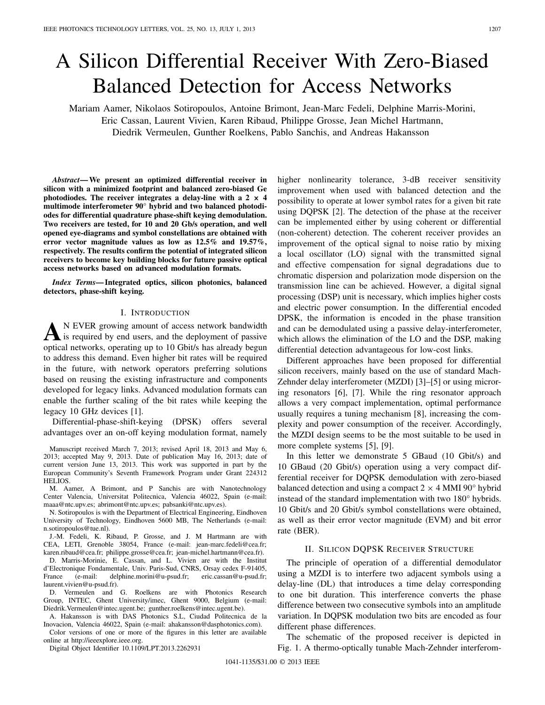# A Silicon Differential Receiver With Zero-Biased Balanced Detection for Access Networks

Mariam Aamer, Nikolaos Sotiropoulos, Antoine Brimont, Jean-Marc Fedeli, Delphine Marris-Morini, Eric Cassan, Laurent Vivien, Karen Ribaud, Philippe Grosse, Jean Michel Hartmann, Diedrik Vermeulen, Gunther Roelkens, Pablo Sanchis, and Andreas Hakansson

*Abstract***— We present an optimized differential receiver in silicon with a minimized footprint and balanced zero-biased Ge** photodiodes. The receiver integrates a delay-line with a  $2 \times 4$ **multimode interferometer 90° hybrid and two balanced photodiodes for differential quadrature phase-shift keying demodulation. Two receivers are tested, for 10 and 20 Gb/s operation, and well opened eye-diagrams and symbol constellations are obtained with error vector magnitude values as low as 12.5% and 19.57%, respectively. The results confirm the potential of integrated silicon receivers to become key building blocks for future passive optical access networks based on advanced modulation formats.**

*Index Terms***— Integrated optics, silicon photonics, balanced detectors, phase-shift keying.**

## I. INTRODUCTION

A <sup>N</sup> EVER growing amount of access network bandwidth<br>is required by end users, and the deployment of passive optical networks, operating up to 10 Gbit/s has already begun to address this demand. Even higher bit rates will be required in the future, with network operators preferring solutions based on reusing the existing infrastructure and components developed for legacy links. Advanced modulation formats can enable the further scaling of the bit rates while keeping the legacy 10 GHz devices [1].

Differential-phase-shift-keying (DPSK) offers several advantages over an on-off keying modulation format, namely

Manuscript received March 7, 2013; revised April 18, 2013 and May 6, 2013; accepted May 9, 2013. Date of publication May 16, 2013; date of current version June 13, 2013. This work was supported in part by the European Community's Seventh Framework Program under Grant 224312 HELIOS.

M. Aamer, A Brimont, and P Sanchis are with Nanotechnology Center Valencia, Universitat Politecnica, Valencia 46022, Spain (e-mail: maaa@ntc.upv.es; abrimont@ntc.upv.es; pabsanki@ntc.upv.es).

N. Sotiropoulos is with the Department of Electrical Engineering, Eindhoven University of Technology, Eindhoven 5600 MB, The Netherlands (e-mail: n.sotiropoulos@tue.nl).

J.-M. Fedeli, K. Ribaud, P. Grosse, and J. M Hartmann are with CEA, LETI, Grenoble 38054, France (e-mail: jean-marc.fedeli@cea.fr; karen.ribaud@cea.fr; philippe.grosse@cea.fr; jean-michel.hartmann@cea.fr).

D. Marris-Morinie, E. Cassan, and L. Vivien are with the Institut d'Electronique Fondamentale, Univ. Paris-Sud, CNRS, Orsay cedex F-91405, France (e-mail: delphine.morini@u-psud.fr; eric.cassan@u-psud.fr; laurent.vivien@u-psud.fr).

D. Vermeulen and G. Roelkens are with Photonics Research Group, INTEC, Ghent University/imec, Ghent 9000, Belgium (e-mail: Diedrik.Vermeulen@intec.ugent.be; gunther.roelkens@intec.ugent.be).

A. Hakansson is with DAS Photonics S.L, Ciudad Politecnica de la Inovacion, Valencia 46022, Spain (e-mail: ahakansson@dasphotonics.com).

Color versions of one or more of the figures in this letter are available online at http://ieeexplore.ieee.org.

Digital Object Identifier 10.1109/LPT.2013.2262931

higher nonlinearity tolerance, 3-dB receiver sensitivity improvement when used with balanced detection and the possibility to operate at lower symbol rates for a given bit rate using DQPSK [2]. The detection of the phase at the receiver can be implemented either by using coherent or differential (non-coherent) detection. The coherent receiver provides an improvement of the optical signal to noise ratio by mixing a local oscillator (LO) signal with the transmitted signal and effective compensation for signal degradations due to chromatic dispersion and polarization mode dispersion on the transmission line can be achieved. However, a digital signal processing (DSP) unit is necessary, which implies higher costs and electric power consumption. In the differential encoded DPSK, the information is encoded in the phase transition and can be demodulated using a passive delay-interferometer, which allows the elimination of the LO and the DSP, making differential detection advantageous for low-cost links.

Different approaches have been proposed for differential silicon receivers, mainly based on the use of standard Mach-Zehnder delay interferometer (MZDI) [3]–[5] or using microring resonators [6], [7]. While the ring resonator approach allows a very compact implementation, optimal performance usually requires a tuning mechanism [8], increasing the complexity and power consumption of the receiver. Accordingly, the MZDI design seems to be the most suitable to be used in more complete systems [5], [9].

In this letter we demonstrate 5 GBaud (10 Gbit/s) and 10 GBaud (20 Gbit/s) operation using a very compact differential receiver for DQPSK demodulation with zero-biased balanced detection and using a compact  $2 \times 4$  MMI 90 $\degree$  hybrid instead of the standard implementation with two 180° hybrids. 10 Gbit/s and 20 Gbit/s symbol constellations were obtained, as well as their error vector magnitude (EVM) and bit error rate (BER).

## II. SILICON DQPSK RECEIVER STRUCTURE

The principle of operation of a differential demodulator using a MZDI is to interfere two adjacent symbols using a delay-line (DL) that introduces a time delay corresponding to one bit duration. This interference converts the phase difference between two consecutive symbols into an amplitude variation. In DQPSK modulation two bits are encoded as four different phase differences.

The schematic of the proposed receiver is depicted in Fig. 1. A thermo-optically tunable Mach-Zehnder interferom-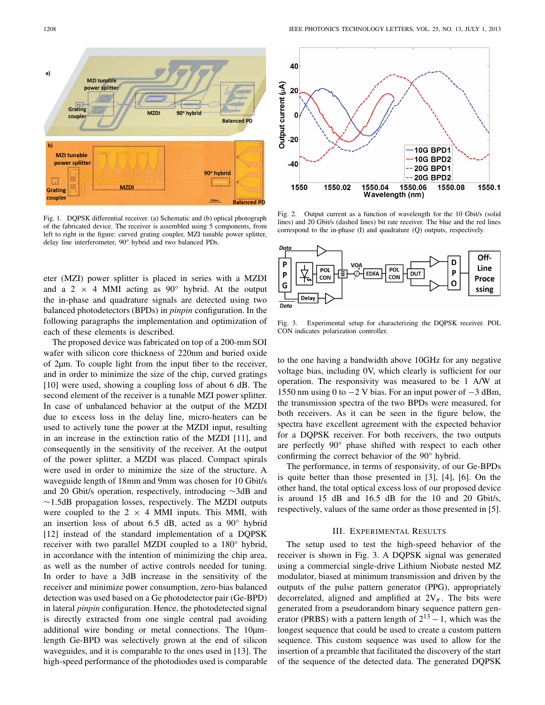

Fig. 1. DQPSK differential receiver. (a) Schematic and (b) optical photograph of the fabricated device. The receiver is assembled using 5 components, from left to right in the figure: curved grating coupler, MZI tunable power splitter, delay line interferometer, 90° hybrid and two balanced PDs.

eter (MZI) power splitter is placed in series with a MZDI and a 2  $\times$  4 MMI acting as 90 $^{\circ}$  hybrid. At the output the in-phase and quadrature signals are detected using two balanced photodetectors (BPDs) in *pinpin* configuration. In the following paragraphs the implementation and optimization of each of these elements is described.

The proposed device was fabricated on top of a 200-mm SOI wafer with silicon core thickness of 220nm and buried oxide of 2µm. To couple light from the input fiber to the receiver, and in order to minimize the size of the chip, curved gratings [10] were used, showing a coupling loss of about 6 dB. The second element of the receiver is a tunable MZI power splitter. In case of unbalanced behavior at the output of the MZDI due to excess loss in the delay line, micro-heaters can be used to actively tune the power at the MZDI input, resulting in an increase in the extinction ratio of the MZDI [11], and consequently in the sensitivity of the receiver. At the output of the power splitter, a MZDI was placed. Compact spirals were used in order to minimize the size of the structure. A waveguide length of 18mm and 9mm was chosen for 10 Gbit/s and 20 Gbit/s operation, respectively, introducing ∼3dB and ∼1.5dB propagation losses, respectively. The MZDI outputs were coupled to the  $2 \times 4$  MMI inputs. This MMI, with an insertion loss of about 6.5 dB, acted as a 90° hybrid [12] instead of the standard implementation of a DQPSK receiver with two parallel MZDI coupled to a 180° hybrid, in accordance with the intention of minimizing the chip area, as well as the number of active controls needed for tuning. In order to have a 3dB increase in the sensitivity of the receiver and minimize power consumption, zero-bias balanced detection was used based on a Ge photodetector pair (Ge-BPD) in lateral *pinpin* configuration. Hence, the photodetected signal is directly extracted from one single central pad avoiding additional wire bonding or metal connections. The 10µmlength Ge-BPD was selectively grown at the end of silicon waveguides, and it is comparable to the ones used in [13]. The high-speed performance of the photodiodes used is comparable



Fig. 2. Output current as a function of wavelength for the 10 Gbit/s (solid lines) and 20 Gbit/s (dashed lines) bit rate receiver. The blue and the red lines correspond to the in-phase (I) and quadrature (Q) outputs, respectively.



Fig. 3. Experimental setup for characterizing the DQPSK receiver. POL CON indicates polarization controller.

to the one having a bandwidth above 10GHz for any negative voltage bias, including 0V, which clearly is sufficient for our operation. The responsivity was measured to be 1 A/W at 1550 nm using 0 to  $-2$  V bias. For an input power of  $-3$  dBm, the transmission spectra of the two BPDs were measured, for both receivers. As it can be seen in the figure below, the spectra have excellent agreement with the expected behavior for a DQPSK receiver. For both receivers, the two outputs are perfectly 90° phase shifted with respect to each other confirming the correct behavior of the 90° hybrid.

The performance, in terms of responsivity, of our Ge-BPDs is quite better than those presented in [3], [4], [6]. On the other hand, the total optical excess loss of our proposed device is around 15 dB and 16.5 dB for the 10 and 20 Gbit/s, respectively, values of the same order as those presented in [5].

## III. EXPERIMENTAL RESULTS

The setup used to test the high-speed behavior of the receiver is shown in Fig. 3. A DQPSK signal was generated using a commercial single-drive Lithium Niobate nested MZ modulator, biased at minimum transmission and driven by the outputs of the pulse pattern generator (PPG), appropriately decorrelated, aligned and amplified at  $2V_\pi$ . The bits were generated from a pseudorandom binary sequence pattern generator (PRBS) with a pattern length of  $2^{13} - 1$ , which was the longest sequence that could be used to create a custom pattern sequence. This custom sequence was used to allow for the insertion of a preamble that facilitated the discovery of the start of the sequence of the detected data. The generated DQPSK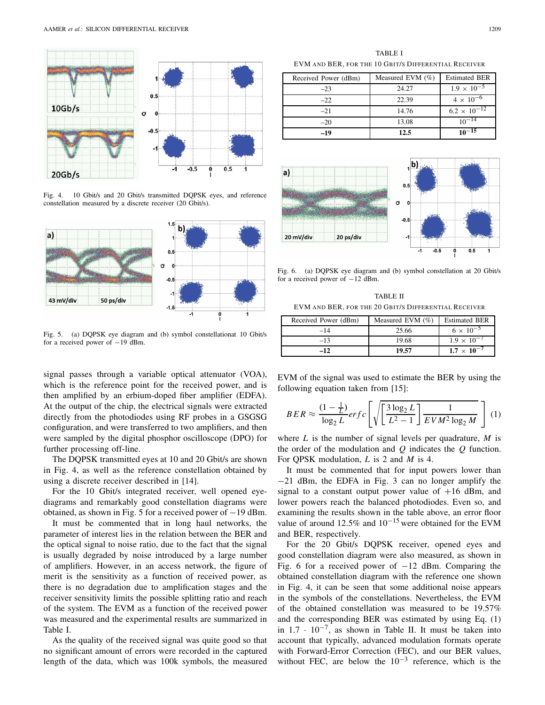

Fig. 4. 10 Gbit/s and 20 Gbit/s transmitted DQPSK eyes, and reference constellation measured by a discrete receiver (20 Gbit/s).



Fig. 5. (a) DQPSK eye diagram and (b) symbol constellationat 10 Gbit/s for a received power of −19 dBm.

signal passes through a variable optical attenuator (VOA), which is the reference point for the received power, and is then amplified by an erbium-doped fiber amplifier (EDFA). At the output of the chip, the electrical signals were extracted directly from the photodiodes using RF probes in a GSGSG configuration, and were transferred to two amplifiers, and then were sampled by the digital phosphor oscilloscope (DPO) for further processing off-line.

The DQPSK transmitted eyes at 10 and 20 Gbit/s are shown in Fig. 4, as well as the reference constellation obtained by using a discrete receiver described in [14].

For the 10 Gbit/s integrated receiver, well opened eyediagrams and remarkably good constellation diagrams were obtained, as shown in Fig. 5 for a received power of −19 dBm.

It must be commented that in long haul networks, the parameter of interest lies in the relation between the BER and the optical signal to noise ratio, due to the fact that the signal is usually degraded by noise introduced by a large number of amplifiers. However, in an access network, the figure of merit is the sensitivity as a function of received power, as there is no degradation due to amplification stages and the receiver sensitivity limits the possible splitting ratio and reach of the system. The EVM as a function of the received power was measured and the experimental results are summarized in Table I.

As the quality of the received signal was quite good so that no significant amount of errors were recorded in the captured length of the data, which was 100k symbols, the measured

TABLE I EVM AND BER, FOR THE 10 GBIT/S DIFFERENTIAL RECEIVER

| Received Power (dBm) | Measured EVM $(\% )$ | <b>Estimated BER</b>  |
|----------------------|----------------------|-----------------------|
| $-23$                | 24.27                | $1.9 \times 10^{-5}$  |
| $-22$                | 22.39                | $4 \times 10^{-6}$    |
| $-21$                | 14.76                | $6.2 \times 10^{-12}$ |
| $-20$                | 13.08                | $10^{-14}$            |
| -19                  | 12.5                 | $10^{-15}$            |



Fig. 6. (a) DQPSK eye diagram and (b) symbol constellation at 20 Gbit/s for a received power of −12 dBm.

TABLE II EVM AND BER, FOR THE 20 GBIT/S DIFFERENTIAL RECEIVER

| Received Power (dBm) | Measured EVM $(\% )$ | <b>Estimated BER</b> |
|----------------------|----------------------|----------------------|
| $-14$                | 25.66                | $6 \times 10^{-5}$   |
| $-13$                | 19.68                | $1.9 \times 10^{-7}$ |
| -12                  | 19.57                | $1.7 \times 10^{-7}$ |

EVM of the signal was used to estimate the BER by using the following equation taken from [15]:

$$
BER \approx \frac{(1 - \frac{1}{L})}{\log_2 L} erfc\left[\sqrt{\left(\frac{3\log_2 L}{L^2 - 1}\right)} \frac{1}{EVM^2 \log_2 M}\right] (1)
$$

where *L* is the number of signal levels per quadrature, *M* is the order of the modulation and *Q* indicates the *Q* function. For QPSK modulation, *L* is 2 and *M* is 4.

It must be commented that for input powers lower than −21 dBm, the EDFA in Fig. 3 can no longer amplify the signal to a constant output power value of  $+16$  dBm, and lower powers reach the balanced photodiodes. Even so, and examining the results shown in the table above, an error floor value of around 12.5% and  $10^{-15}$  were obtained for the EVM and BER, respectively.

For the 20 Gbit/s DQPSK receiver, opened eyes and good constellation diagram were also measured, as shown in Fig. 6 for a received power of  $-12$  dBm. Comparing the obtained constellation diagram with the reference one shown in Fig. 4, it can be seen that some additional noise appears in the symbols of the constellations. Nevertheless, the EVM of the obtained constellation was measured to be 19.57% and the corresponding BER was estimated by using Eq. (1) in  $1.7 \cdot 10^{-7}$ , as shown in Table II. It must be taken into account that typically, advanced modulation formats operate with Forward-Error Correction (FEC), and our BER values, without FEC, are below the  $10^{-3}$  reference, which is the